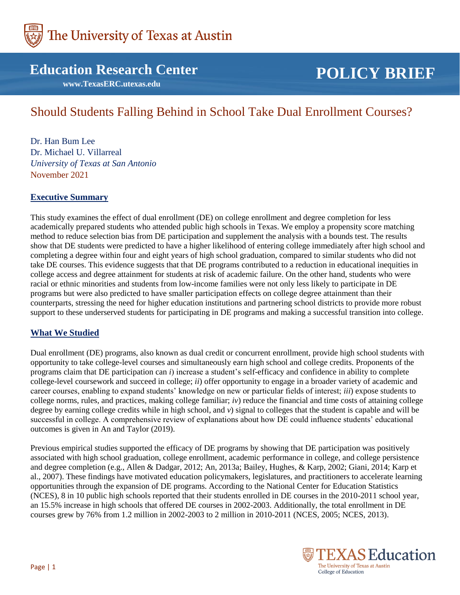

# **Education Research Center**

 **www.TexasERC.utexas.edu**

# **POLICY BRIEF**

# Should Students Falling Behind in School Take Dual Enrollment Courses?

Dr. Han Bum Lee Dr. Michael U. Villarreal *University of Texas at San Antonio* November 2021

## **Executive Summary**

This study examines the effect of dual enrollment (DE) on college enrollment and degree completion for less academically prepared students who attended public high schools in Texas. We employ a propensity score matching method to reduce selection bias from DE participation and supplement the analysis with a bounds test. The results show that DE students were predicted to have a higher likelihood of entering college immediately after high school and completing a degree within four and eight years of high school graduation, compared to similar students who did not take DE courses. This evidence suggests that that DE programs contributed to a reduction in educational inequities in college access and degree attainment for students at risk of academic failure. On the other hand, students who were racial or ethnic minorities and students from low-income families were not only less likely to participate in DE programs but were also predicted to have smaller participation effects on college degree attainment than their counterparts, stressing the need for higher education institutions and partnering school districts to provide more robust support to these underserved students for participating in DE programs and making a successful transition into college.

# **What We Studied**

Dual enrollment (DE) programs, also known as dual credit or concurrent enrollment, provide high school students with opportunity to take college-level courses and simultaneously earn high school and college credits. Proponents of the programs claim that DE participation can *i*) increase a student's self-efficacy and confidence in ability to complete college-level coursework and succeed in college; *ii*) offer opportunity to engage in a broader variety of academic and career courses, enabling to expand students' knowledge on new or particular fields of interest; *iii*) expose students to college norms, rules, and practices, making college familiar; *iv*) reduce the financial and time costs of attaining college degree by earning college credits while in high school, and *v*) signal to colleges that the student is capable and will be successful in college. A comprehensive review of explanations about how DE could influence students' educational outcomes is given in An and Taylor (2019).

Previous empirical studies supported the efficacy of DE programs by showing that DE participation was positively associated with high school graduation, college enrollment, academic performance in college, and college persistence and degree completion (e.g., Allen & Dadgar, 2012; An, 2013a; Bailey, Hughes, & Karp, 2002; Giani, 2014; Karp et al., 2007). These findings have motivated education policymakers, legislatures, and practitioners to accelerate learning opportunities through the expansion of DE programs. According to the National Center for Education Statistics (NCES), 8 in 10 public high schools reported that their students enrolled in DE courses in the 2010-2011 school year, an 15.5% increase in high schools that offered DE courses in 2002-2003. Additionally, the total enrollment in DE courses grew by 76% from 1.2 million in 2002-2003 to 2 million in 2010-2011 (NCES, 2005; NCES, 2013).

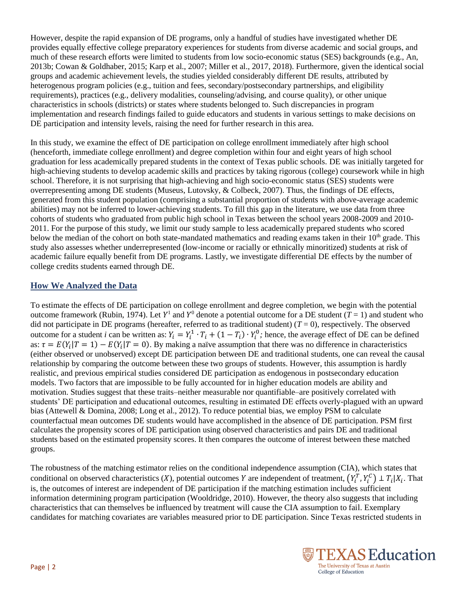However, despite the rapid expansion of DE programs, only a handful of studies have investigated whether DE provides equally effective college preparatory experiences for students from diverse academic and social groups, and much of these research efforts were limited to students from low socio-economic status (SES) backgrounds (e.g., An, 2013b; Cowan & Goldhaber, 2015; Karp et al., 2007; Miller et al., 2017, 2018). Furthermore, given the identical social groups and academic achievement levels, the studies yielded considerably different DE results, attributed by heterogenous program policies (e.g., tuition and fees, secondary/postsecondary partnerships, and eligibility requirements), practices (e.g., delivery modalities, counseling/advising, and course quality), or other unique characteristics in schools (districts) or states where students belonged to. Such discrepancies in program implementation and research findings failed to guide educators and students in various settings to make decisions on DE participation and intensity levels, raising the need for further research in this area.

In this study, we examine the effect of DE participation on college enrollment immediately after high school (henceforth, immediate college enrollment) and degree completion within four and eight years of high school graduation for less academically prepared students in the context of Texas public schools. DE was initially targeted for high-achieving students to develop academic skills and practices by taking rigorous (college) coursework while in high school. Therefore, it is not surprising that high-achieving and high socio-economic status (SES) students were overrepresenting among DE students (Museus, Lutovsky, & Colbeck, 2007). Thus, the findings of DE effects, generated from this student population (comprising a substantial proportion of students with above-average academic abilities) may not be inferred to lower-achieving students. To fill this gap in the literature, we use data from three cohorts of students who graduated from public high school in Texas between the school years 2008-2009 and 2010- 2011. For the purpose of this study, we limit our study sample to less academically prepared students who scored below the median of the cohort on both state-mandated mathematics and reading exams taken in their 10<sup>th</sup> grade. This study also assesses whether underrepresented (low-income or racially or ethnically minoritized) students at risk of academic failure equally benefit from DE programs. Lastly, we investigate differential DE effects by the number of college credits students earned through DE.

# **How We Analyzed the Data**

To estimate the effects of DE participation on college enrollment and degree completion, we begin with the potential outcome framework (Rubin, 1974). Let  $Y^1$  and  $Y^0$  denote a potential outcome for a DE student (*T* = 1) and student who did not participate in DE programs (hereafter, referred to as traditional student)  $(T = 0)$ , respectively. The observed outcome for a student *i* can be written as:  $Y_i = Y_i^1 \cdot T_i + (1 - T_i) \cdot Y_i^0$ ; hence, the average effect of DE can be defined as:  $\tau = E(Y_i | T = 1) - E(Y_i | T = 0)$ . By making a naïve assumption that there was no difference in characteristics (either observed or unobserved) except DE participation between DE and traditional students, one can reveal the causal relationship by comparing the outcome between these two groups of students. However, this assumption is hardly realistic, and previous empirical studies considered DE participation as endogenous in postsecondary education models. Two factors that are impossible to be fully accounted for in higher education models are ability and motivation. Studies suggest that these traits–neither measurable nor quantifiable–are positively correlated with students' DE participation and educational outcomes, resulting in estimated DE effects overly-plagued with an upward bias (Attewell & Domina, 2008; Long et al., 2012). To reduce potential bias, we employ PSM to calculate counterfactual mean outcomes DE students would have accomplished in the absence of DE participation. PSM first calculates the propensity scores of DE participation using observed characteristics and pairs DE and traditional students based on the estimated propensity scores. It then compares the outcome of interest between these matched groups.

The robustness of the matching estimator relies on the conditional independence assumption (CIA), which states that conditional on observed characteristics  $(X)$ , potential outcomes Y are independent of treatment,  $(Y_i^T, Y_i^C) \perp T_i | X_i$ . That is, the outcomes of interest are independent of DE participation if the matching estimation includes sufficient information determining program participation (Wooldridge, 2010). However, the theory also suggests that including characteristics that can themselves be influenced by treatment will cause the CIA assumption to fail. Exemplary candidates for matching covariates are variables measured prior to DE participation. Since Texas restricted students in

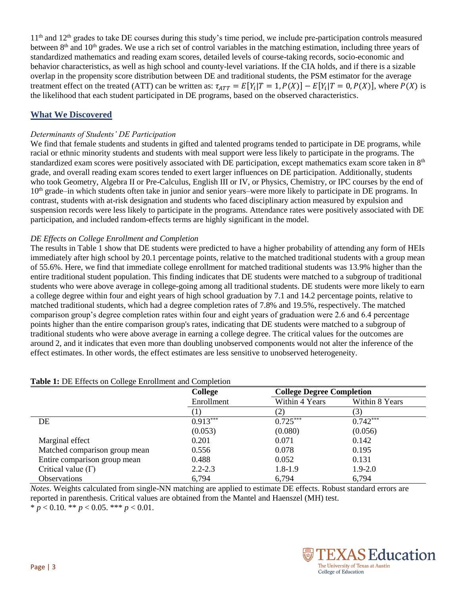$11<sup>th</sup>$  and  $12<sup>th</sup>$  grades to take DE courses during this study's time period, we include pre-participation controls measured between  $8<sup>th</sup>$  and  $10<sup>th</sup>$  grades. We use a rich set of control variables in the matching estimation, including three years of standardized mathematics and reading exam scores, detailed levels of course-taking records, socio-economic and behavior characteristics, as well as high school and county-level variations. If the CIA holds, and if there is a sizable overlap in the propensity score distribution between DE and traditional students, the PSM estimator for the average treatment effect on the treated (ATT) can be written as:  $\tau_{ATT} = E[Y_i|T = 1, P(X)] - E[Y_i|T = 0, P(X)]$ , where  $P(X)$  is the likelihood that each student participated in DE programs, based on the observed characteristics.

## **What We Discovered**

#### *Determinants of Students' DE Participation*

We find that female students and students in gifted and talented programs tended to participate in DE programs, while racial or ethnic minority students and students with meal support were less likely to participate in the programs. The standardized exam scores were positively associated with DE participation, except mathematics exam score taken in 8<sup>th</sup> grade, and overall reading exam scores tended to exert larger influences on DE participation. Additionally, students who took Geometry, Algebra II or Pre-Calculus, English III or IV, or Physics, Chemistry, or IPC courses by the end of 10<sup>th</sup> grade–in which students often take in junior and senior years–were more likely to participate in DE programs. In contrast, students with at-risk designation and students who faced disciplinary action measured by expulsion and suspension records were less likely to participate in the programs. Attendance rates were positively associated with DE participation, and included random-effects terms are highly significant in the model.

#### *DE Effects on College Enrollment and Completion*

The results in Table 1 show that DE students were predicted to have a higher probability of attending any form of HEIs immediately after high school by 20.1 percentage points, relative to the matched traditional students with a group mean of 55.6%. Here, we find that immediate college enrollment for matched traditional students was 13.9% higher than the entire traditional student population. This finding indicates that DE students were matched to a subgroup of traditional students who were above average in college-going among all traditional students. DE students were more likely to earn a college degree within four and eight years of high school graduation by 7.1 and 14.2 percentage points, relative to matched traditional students, which had a degree completion rates of 7.8% and 19.5%, respectively. The matched comparison group's degree completion rates within four and eight years of graduation were 2.6 and 6.4 percentage points higher than the entire comparison group's rates, indicating that DE students were matched to a subgroup of traditional students who were above average in earning a college degree. The critical values for the outcomes are around 2, and it indicates that even more than doubling unobserved components would not alter the inference of the effect estimates. In other words, the effect estimates are less sensitive to unobserved heterogeneity.

|                               | <b>College</b><br>Enrollment | <b>College Degree Completion</b> |                |  |
|-------------------------------|------------------------------|----------------------------------|----------------|--|
|                               |                              | Within 4 Years                   | Within 8 Years |  |
|                               |                              |                                  | 3)             |  |
| DE                            | $0.913***$                   | $0.725***$                       | $0.742***$     |  |
|                               | (0.053)                      | (0.080)                          | (0.056)        |  |
| Marginal effect               | 0.201                        | 0.071                            | 0.142          |  |
| Matched comparison group mean | 0.556                        | 0.078                            | 0.195          |  |
| Entire comparison group mean  | 0.488                        | 0.052                            | 0.131          |  |
| Critical value $(\Gamma)$     | $2.2 - 2.3$                  | $1.8 - 1.9$                      | $1.9 - 2.0$    |  |
| <b>Observations</b>           | 6,794                        | 6,794                            | 6,794          |  |

#### **Table 1:** DE Effects on College Enrollment and Completion

*Notes*. Weights calculated from single-NN matching are applied to estimate DE effects. Robust standard errors are reported in parenthesis. Critical values are obtained from the Mantel and Haenszel (MH) test.  $*$  *p* < 0.10. \*\* *p* < 0.05. \*\*\* *p* < 0.01.

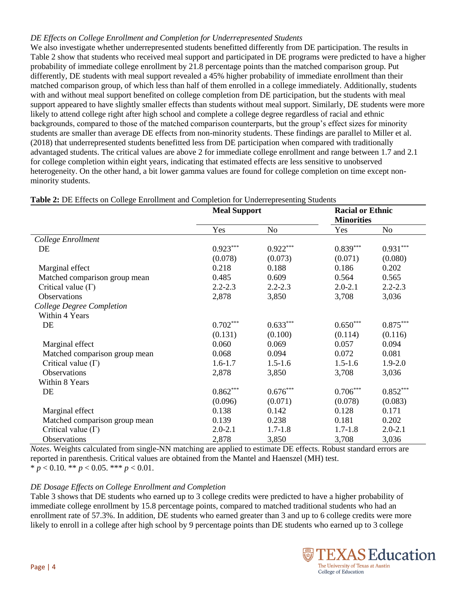#### *DE Effects on College Enrollment and Completion for Underrepresented Students*

We also investigate whether underrepresented students benefitted differently from DE participation. The results in Table 2 show that students who received meal support and participated in DE programs were predicted to have a higher probability of immediate college enrollment by 21.8 percentage points than the matched comparison group. Put differently, DE students with meal support revealed a 45% higher probability of immediate enrollment than their matched comparison group, of which less than half of them enrolled in a college immediately. Additionally, students with and without meal support benefited on college completion from DE participation, but the students with meal support appeared to have slightly smaller effects than students without meal support. Similarly, DE students were more likely to attend college right after high school and complete a college degree regardless of racial and ethnic backgrounds, compared to those of the matched comparison counterparts, but the group's effect sizes for minority students are smaller than average DE effects from non-minority students. These findings are parallel to Miller et al. (2018) that underrepresented students benefitted less from DE participation when compared with traditionally advantaged students. The critical values are above 2 for immediate college enrollment and range between 1.7 and 2.1 for college completion within eight years, indicating that estimated effects are less sensitive to unobserved heterogeneity. On the other hand, a bit lower gamma values are found for college completion on time except nonminority students.

|                               | <b>Meal Support</b> |             | <b>Racial or Ethnic</b><br><b>Minorities</b> |             |
|-------------------------------|---------------------|-------------|----------------------------------------------|-------------|
|                               | Yes                 | No          | Yes                                          | No          |
| College Enrollment            |                     |             |                                              |             |
| DE                            | $0.923***$          | $0.922***$  | $0.839***$                                   | $0.931***$  |
|                               | (0.078)             | (0.073)     | (0.071)                                      | (0.080)     |
| Marginal effect               | 0.218               | 0.188       | 0.186                                        | 0.202       |
| Matched comparison group mean | 0.485               | 0.609       | 0.564                                        | 0.565       |
| Critical value $(\Gamma)$     | $2.2 - 2.3$         | $2.2 - 2.3$ | $2.0 - 2.1$                                  | $2.2 - 2.3$ |
| Observations                  | 2,878               | 3,850       | 3,708                                        | 3,036       |
| College Degree Completion     |                     |             |                                              |             |
| Within 4 Years                |                     |             |                                              |             |
| DE                            | $0.702***$          | $0.633***$  | $0.650***$                                   | $0.875***$  |
|                               | (0.131)             | (0.100)     | (0.114)                                      | (0.116)     |
| Marginal effect               | 0.060               | 0.069       | 0.057                                        | 0.094       |
| Matched comparison group mean | 0.068               | 0.094       | 0.072                                        | 0.081       |
| Critical value $(\Gamma)$     | $1.6 - 1.7$         | $1.5 - 1.6$ | $1.5 - 1.6$                                  | $1.9 - 2.0$ |
| <b>Observations</b>           | 2,878               | 3,850       | 3,708                                        | 3,036       |
| Within 8 Years                |                     |             |                                              |             |
| DE                            | $0.862***$          | $0.676***$  | $0.706***$                                   | $0.852***$  |
|                               | (0.096)             | (0.071)     | (0.078)                                      | (0.083)     |
| Marginal effect               | 0.138               | 0.142       | 0.128                                        | 0.171       |
| Matched comparison group mean | 0.139               | 0.238       | 0.181                                        | 0.202       |
| Critical value $(\Gamma)$     | $2.0 - 2.1$         | $1.7 - 1.8$ | $1.7 - 1.8$                                  | $2.0 - 2.1$ |
| <b>Observations</b>           | 2,878               | 3,850       | 3,708                                        | 3,036       |

**Table 2:** DE Effects on College Enrollment and Completion for Underrepresenting Students

*Notes*. Weights calculated from single-NN matching are applied to estimate DE effects. Robust standard errors are reported in parenthesis. Critical values are obtained from the Mantel and Haenszel (MH) test.  $*$  *p* < 0.10. \*\* *p* < 0.05. \*\*\* *p* < 0.01.

# *DE Dosage Effects on College Enrollment and Completion*

Table 3 shows that DE students who earned up to 3 college credits were predicted to have a higher probability of immediate college enrollment by 15.8 percentage points, compared to matched traditional students who had an enrollment rate of 57.3%. In addition, DE students who earned greater than 3 and up to 6 college credits were more likely to enroll in a college after high school by 9 percentage points than DE students who earned up to 3 college

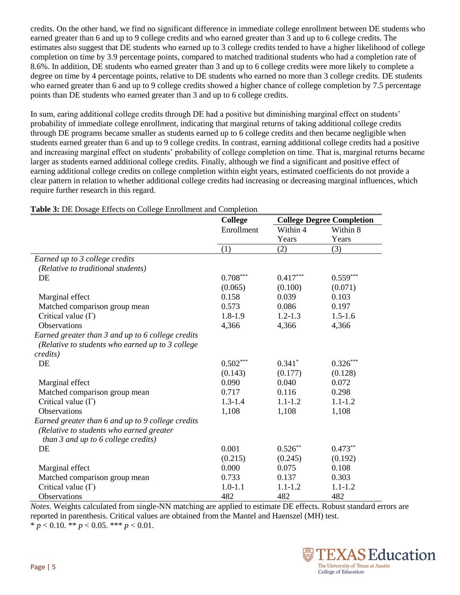credits. On the other hand, we find no significant difference in immediate college enrollment between DE students who earned greater than 6 and up to 9 college credits and who earned greater than 3 and up to 6 college credits. The estimates also suggest that DE students who earned up to 3 college credits tended to have a higher likelihood of college completion on time by 3.9 percentage points, compared to matched traditional students who had a completion rate of 8.6%. In addition, DE students who earned greater than 3 and up to 6 college credits were more likely to complete a degree on time by 4 percentage points, relative to DE students who earned no more than 3 college credits. DE students who earned greater than 6 and up to 9 college credits showed a higher chance of college completion by 7.5 percentage points than DE students who earned greater than 3 and up to 6 college credits.

In sum, earing additional college credits through DE had a positive but diminishing marginal effect on students' probability of immediate college enrollment, indicating that marginal returns of taking additional college credits through DE programs became smaller as students earned up to 6 college credits and then became negligible when students earned greater than 6 and up to 9 college credits. In contrast, earning additional college credits had a positive and increasing marginal effect on students' probability of college completion on time. That is, marginal returns became larger as students earned additional college credits. Finally, although we find a significant and positive effect of earning additional college credits on college completion within eight years, estimated coefficients do not provide a clear pattern in relation to whether additional college credits had increasing or decreasing marginal influences, which require further research in this regard.

|                                                   | <b>College</b> | <b>College Degree Completion</b> |             |  |
|---------------------------------------------------|----------------|----------------------------------|-------------|--|
|                                                   | Enrollment     | Within 4                         | Within 8    |  |
|                                                   |                | Years                            | Years       |  |
|                                                   | (1)            | (2)                              | (3)         |  |
| Earned up to 3 college credits                    |                |                                  |             |  |
| (Relative to traditional students)                |                |                                  |             |  |
| DE                                                | $0.708***$     | $0.417***$                       | $0.559***$  |  |
|                                                   | (0.065)        | (0.100)                          | (0.071)     |  |
| Marginal effect                                   | 0.158          | 0.039                            | 0.103       |  |
| Matched comparison group mean                     | 0.573          | 0.086                            | 0.197       |  |
| Critical value $(\Gamma)$                         | $1.8 - 1.9$    | $1.2 - 1.3$                      | $1.5 - 1.6$ |  |
| <b>Observations</b>                               | 4,366          | 4,366                            | 4,366       |  |
| Earned greater than 3 and up to 6 college credits |                |                                  |             |  |
| (Relative to students who earned up to 3 college  |                |                                  |             |  |
| credits)                                          |                |                                  |             |  |
| DE                                                | $0.502***$     | $0.341*$                         | $0.326***$  |  |
|                                                   | (0.143)        | (0.177)                          | (0.128)     |  |
| Marginal effect                                   | 0.090          | 0.040                            | 0.072       |  |
| Matched comparison group mean                     | 0.717          | 0.116                            | 0.298       |  |
| Critical value $(\Gamma)$                         | $1.3 - 1.4$    | $1.1 - 1.2$                      | $1.1 - 1.2$ |  |
| <b>Observations</b>                               | 1,108          | 1,108                            | 1,108       |  |
| Earned greater than 6 and up to 9 college credits |                |                                  |             |  |
| (Relative to students who earned greater          |                |                                  |             |  |
| than $\beta$ and up to $\delta$ college credits)  |                |                                  |             |  |
| DE                                                | 0.001          | $0.526**$                        | $0.473**$   |  |
|                                                   | (0.215)        | (0.245)                          | (0.192)     |  |
| Marginal effect                                   | 0.000          | 0.075                            | 0.108       |  |
| Matched comparison group mean                     | 0.733          | 0.137                            | 0.303       |  |
| Critical value $(\Gamma)$                         | $1.0 - 1.1$    | $1.1 - 1.2$                      | $1.1 - 1.2$ |  |
| Observations                                      | 482            | 482                              | 482         |  |

**Table 3:** DE Dosage Effects on College Enrollment and Completion

*Notes*. Weights calculated from single-NN matching are applied to estimate DE effects. Robust standard errors are reported in parenthesis. Critical values are obtained from the Mantel and Haenszel (MH) test.  $*\bar{p}$  < 0.10. \*\* *p* < 0.05. \*\*\* *p* < 0.01.

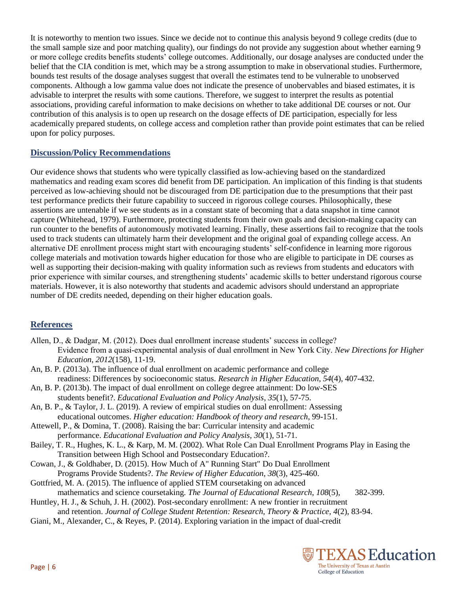It is noteworthy to mention two issues. Since we decide not to continue this analysis beyond 9 college credits (due to the small sample size and poor matching quality), our findings do not provide any suggestion about whether earning 9 or more college credits benefits students' college outcomes. Additionally, our dosage analyses are conducted under the belief that the CIA condition is met, which may be a strong assumption to make in observational studies. Furthermore, bounds test results of the dosage analyses suggest that overall the estimates tend to be vulnerable to unobserved components. Although a low gamma value does not indicate the presence of unobervables and biased estimates, it is advisable to interpret the results with some cautions. Therefore, we suggest to interpret the results as potential associations, providing careful information to make decisions on whether to take additional DE courses or not. Our contribution of this analysis is to open up research on the dosage effects of DE participation, especially for less academically prepared students, on college access and completion rather than provide point estimates that can be relied upon for policy purposes.

## **Discussion/Policy Recommendations**

Our evidence shows that students who were typically classified as low-achieving based on the standardized mathematics and reading exam scores did benefit from DE participation. An implication of this finding is that students perceived as low-achieving should not be discouraged from DE participation due to the presumptions that their past test performance predicts their future capability to succeed in rigorous college courses. Philosophically, these assertions are untenable if we see students as in a constant state of becoming that a data snapshot in time cannot capture (Whitehead, 1979). Furthermore, protecting students from their own goals and decision-making capacity can run counter to the benefits of autonomously motivated learning. Finally, these assertions fail to recognize that the tools used to track students can ultimately harm their development and the original goal of expanding college access. An alternative DE enrollment process might start with encouraging students' self-confidence in learning more rigorous college materials and motivation towards higher education for those who are eligible to participate in DE courses as well as supporting their decision-making with quality information such as reviews from students and educators with prior experience with similar courses, and strengthening students' academic skills to better understand rigorous course materials. However, it is also noteworthy that students and academic advisors should understand an appropriate number of DE credits needed, depending on their higher education goals.

# **References**

- Allen, D., & Dadgar, M. (2012). Does dual enrollment increase students' success in college? Evidence from a quasi‐experimental analysis of dual enrollment in New York City. *New Directions for Higher Education*, *2012*(158), 11-19.
- An, B. P. (2013a). The influence of dual enrollment on academic performance and college readiness: Differences by socioeconomic status. *Research in Higher Education*, *54*(4), 407-432.
- An, B. P. (2013b). The impact of dual enrollment on college degree attainment: Do low-SES students benefit?. *Educational Evaluation and Policy Analysis*, *35*(1), 57-75.
- An, B. P., & Taylor, J. L. (2019). A review of empirical studies on dual enrollment: Assessing educational outcomes. *Higher education: Handbook of theory and research*, 99-151.
- Attewell, P., & Domina, T. (2008). Raising the bar: Curricular intensity and academic performance. *Educational Evaluation and Policy Analysis*, *30*(1), 51-71.
- Bailey, T. R., Hughes, K. L., & Karp, M. M. (2002). What Role Can Dual Enrollment Programs Play in Easing the Transition between High School and Postsecondary Education?.
- Cowan, J., & Goldhaber, D. (2015). How Much of A" Running Start" Do Dual Enrollment Programs Provide Students?. *The Review of Higher Education*, *38*(3), 425-460.
- Gottfried, M. A. (2015). The influence of applied STEM coursetaking on advanced mathematics and science coursetaking. *The Journal of Educational Research*, *108*(5), 382-399.
- Huntley, H. J., & Schuh, J. H. (2002). Post-secondary enrollment: A new frontier in recruitment
- and retention. *Journal of College Student Retention: Research, Theory & Practice*, *4*(2), 83-94.
- Giani, M., Alexander, C., & Reyes, P. (2014). Exploring variation in the impact of dual-credit